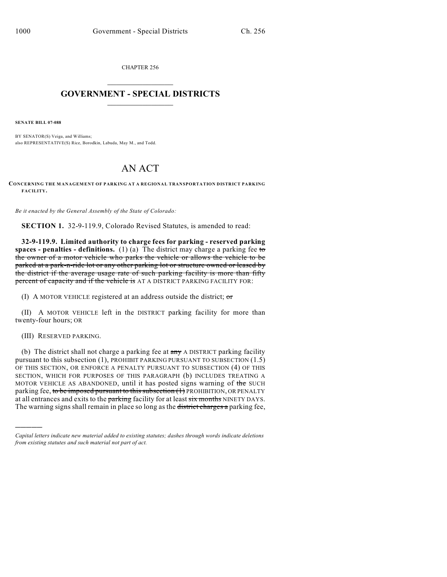CHAPTER 256

## $\mathcal{L}_\text{max}$  . The set of the set of the set of the set of the set of the set of the set of the set of the set of the set of the set of the set of the set of the set of the set of the set of the set of the set of the set **GOVERNMENT - SPECIAL DISTRICTS**  $\_$   $\_$

**SENATE BILL 07-088**

BY SENATOR(S) Veiga, and Williams; also REPRESENTATIVE(S) Rice, Borodkin, Labuda, May M., and Todd.

## AN ACT

**CONCERNING THE M ANAGEMENT OF PARKING AT A REGIONAL TRANSPORTATION DISTRICT PARKING FACILITY.**

*Be it enacted by the General Assembly of the State of Colorado:*

**SECTION 1.** 32-9-119.9, Colorado Revised Statutes, is amended to read:

**32-9-119.9. Limited authority to charge fees for parking - reserved parking spaces - penalties - definitions.** (1) (a) The district may charge a parking fee to the owner of a motor vehicle who parks the vehicle or allows the vehicle to be parked at a park-n-ride lot or any other parking lot or structure owned or leased by the district if the average usage rate of such parking facility is more than fifty percent of capacity and if the vehicle is AT A DISTRICT PARKING FACILITY FOR:

(I) A MOTOR VEHICLE registered at an address outside the district;  $\sigma$ r

(II) A MOTOR VEHICLE left in the DISTRICT parking facility for more than twenty-four hours; OR

(III) RESERVED PARKING.

)))))

(b) The district shall not charge a parking fee at  $a_{\text{my}}$  A DISTRICT parking facility pursuant to this subsection (1), PROHIBIT PARKING PURSUANT TO SUBSECTION (1.5) OF THIS SECTION, OR ENFORCE A PENALTY PURSUANT TO SUBSECTION (4) OF THIS SECTION, WHICH FOR PURPOSES OF THIS PARAGRAPH (b) INCLUDES TREATING A MOTOR VEHICLE AS ABANDONED, until it has posted signs warning of the SUCH parking fee, to be imposed pursuant to this subsection (1) PROHIBITION, OR PENALTY at all entrances and exits to the parking facility for at least six months NINETY DAYS. The warning signs shall remain in place so long as the district charges a parking fee,

*Capital letters indicate new material added to existing statutes; dashes through words indicate deletions from existing statutes and such material not part of act.*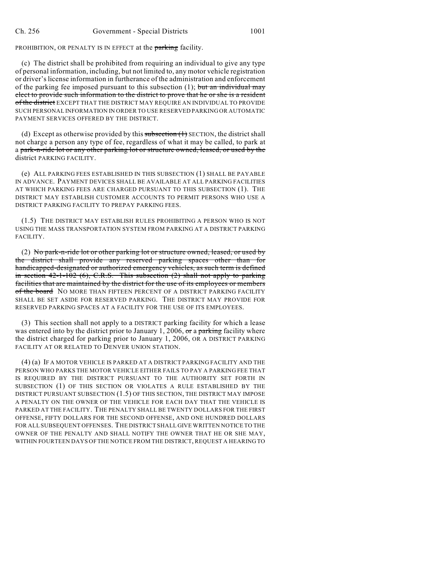PROHIBITION, OR PENALTY IS IN EFFECT at the parking facility.

(c) The district shall be prohibited from requiring an individual to give any type of personal information, including, but not limited to, any motor vehicle registration or driver's license information in furtherance of the administration and enforcement of the parking fee imposed pursuant to this subsection  $(1)$ ; but an individual may elect to provide such information to the district to prove that he or she is a resident of the district EXCEPT THAT THE DISTRICT MAY REQUIRE AN INDIVIDUAL TO PROVIDE SUCH PERSONAL INFORMATION IN ORDER TO USE RESERVED PARKING OR AUTOMATIC PAYMENT SERVICES OFFERED BY THE DISTRICT.

(d) Except as otherwise provided by this subsection  $(1)$  SECTION, the district shall not charge a person any type of fee, regardless of what it may be called, to park at a park-n-ride lot or any other parking lot or structure owned, leased, or used by the district PARKING FACILITY.

(e) ALL PARKING FEES ESTABLISHED IN THIS SUBSECTION (1) SHALL BE PAYABLE IN ADVANCE. PAYMENT DEVICES SHALL BE AVAILABLE AT ALL PARKING FACILITIES AT WHICH PARKING FEES ARE CHARGED PURSUANT TO THIS SUBSECTION (1). THE DISTRICT MAY ESTABLISH CUSTOMER ACCOUNTS TO PERMIT PERSONS WHO USE A DISTRICT PARKING FACILITY TO PREPAY PARKING FEES.

(1.5) THE DISTRICT MAY ESTABLISH RULES PROHIBITING A PERSON WHO IS NOT USING THE MASS TRANSPORTATION SYSTEM FROM PARKING AT A DISTRICT PARKING FACILITY.

(2) No park-n-ride lot or other parking lot or structure owned, leased, or used by the district shall provide any reserved parking spaces other than for handicapped-designated or authorized emergency vehicles, as such term is defined in section  $42-1-102$  (6), C.R.S. This subsection (2) shall not apply to parking facilities that are maintained by the district for the use of its employees or members of the board NO MORE THAN FIFTEEN PERCENT OF A DISTRICT PARKING FACILITY SHALL BE SET ASIDE FOR RESERVED PARKING. THE DISTRICT MAY PROVIDE FOR RESERVED PARKING SPACES AT A FACILITY FOR THE USE OF ITS EMPLOYEES.

(3) This section shall not apply to a DISTRICT parking facility for which a lease was entered into by the district prior to January 1, 2006, or a parking facility where the district charged for parking prior to January 1, 2006, OR A DISTRICT PARKING FACILITY AT OR RELATED TO DENVER UNION STATION.

(4) (a) IF A MOTOR VEHICLE IS PARKED AT A DISTRICT PARKING FACILITY AND THE PERSON WHO PARKS THE MOTOR VEHICLE EITHER FAILS TO PAY A PARKING FEE THAT IS REQUIRED BY THE DISTRICT PURSUANT TO THE AUTHORITY SET FORTH IN SUBSECTION (1) OF THIS SECTION OR VIOLATES A RULE ESTABLISHED BY THE DISTRICT PURSUANT SUBSECTION (1.5) OF THIS SECTION, THE DISTRICT MAY IMPOSE A PENALTY ON THE OWNER OF THE VEHICLE FOR EACH DAY THAT THE VEHICLE IS PARKED AT THE FACILITY. THE PENALTY SHALL BE TWENTY DOLLARS FOR THE FIRST OFFENSE, FIFTY DOLLARS FOR THE SECOND OFFENSE, AND ONE HUNDRED DOLLARS FOR ALL SUBSEQUENT OFFENSES. THE DISTRICT SHALL GIVE WRITTEN NOTICE TO THE OWNER OF THE PENALTY AND SHALL NOTIFY THE OWNER THAT HE OR SHE MAY, WITHIN FOURTEEN DAYS OFTHE NOTICE FROM THE DISTRICT, REQUEST A HEARING TO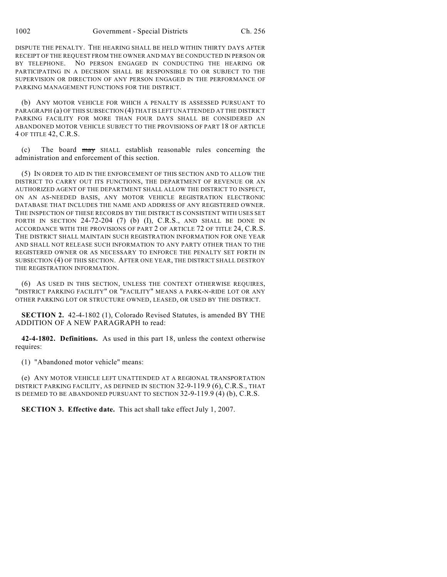DISPUTE THE PENALTY. THE HEARING SHALL BE HELD WITHIN THIRTY DAYS AFTER RECEIPT OF THE REQUEST FROM THE OWNER AND MAY BE CONDUCTED IN PERSON OR BY TELEPHONE. NO PERSON ENGAGED IN CONDUCTING THE HEARING OR PARTICIPATING IN A DECISION SHALL BE RESPONSIBLE TO OR SUBJECT TO THE SUPERVISION OR DIRECTION OF ANY PERSON ENGAGED IN THE PERFORMANCE OF PARKING MANAGEMENT FUNCTIONS FOR THE DISTRICT.

(b) ANY MOTOR VEHICLE FOR WHICH A PENALTY IS ASSESSED PURSUANT TO PARAGRAPH (a) OF THIS SUBSECTION (4) THAT IS LEFT UNATTENDED AT THE DISTRICT PARKING FACILITY FOR MORE THAN FOUR DAYS SHALL BE CONSIDERED AN ABANDONED MOTOR VEHICLE SUBJECT TO THE PROVISIONS OF PART 18 OF ARTICLE 4 OF TITLE 42, C.R.S.

(c) The board may SHALL establish reasonable rules concerning the administration and enforcement of this section.

(5) IN ORDER TO AID IN THE ENFORCEMENT OF THIS SECTION AND TO ALLOW THE DISTRICT TO CARRY OUT ITS FUNCTIONS, THE DEPARTMENT OF REVENUE OR AN AUTHORIZED AGENT OF THE DEPARTMENT SHALL ALLOW THE DISTRICT TO INSPECT, ON AN AS-NEEDED BASIS, ANY MOTOR VEHICLE REGISTRATION ELECTRONIC DATABASE THAT INCLUDES THE NAME AND ADDRESS OF ANY REGISTERED OWNER. THE INSPECTION OF THESE RECORDS BY THE DISTRICT IS CONSISTENT WITH USES SET FORTH IN SECTION  $24-72-204$  (7) (b) (I), C.R.S., AND SHALL BE DONE IN ACCORDANCE WITH THE PROVISIONS OF PART 2 OF ARTICLE 72 OF TITLE 24, C.R.S. THE DISTRICT SHALL MAINTAIN SUCH REGISTRATION INFORMATION FOR ONE YEAR AND SHALL NOT RELEASE SUCH INFORMATION TO ANY PARTY OTHER THAN TO THE REGISTERED OWNER OR AS NECESSARY TO ENFORCE THE PENALTY SET FORTH IN SUBSECTION (4) OF THIS SECTION. AFTER ONE YEAR, THE DISTRICT SHALL DESTROY THE REGISTRATION INFORMATION.

(6) AS USED IN THIS SECTION, UNLESS THE CONTEXT OTHERWISE REQUIRES, "DISTRICT PARKING FACILITY" OR "FACILITY" MEANS A PARK-N-RIDE LOT OR ANY OTHER PARKING LOT OR STRUCTURE OWNED, LEASED, OR USED BY THE DISTRICT.

**SECTION 2.** 42-4-1802 (1), Colorado Revised Statutes, is amended BY THE ADDITION OF A NEW PARAGRAPH to read:

**42-4-1802. Definitions.** As used in this part 18, unless the context otherwise requires:

(1) "Abandoned motor vehicle" means:

(e) ANY MOTOR VEHICLE LEFT UNATTENDED AT A REGIONAL TRANSPORTATION DISTRICT PARKING FACILITY, AS DEFINED IN SECTION 32-9-119.9 (6), C.R.S., THAT IS DEEMED TO BE ABANDONED PURSUANT TO SECTION 32-9-119.9 (4) (b), C.R.S.

**SECTION 3. Effective date.** This act shall take effect July 1, 2007.